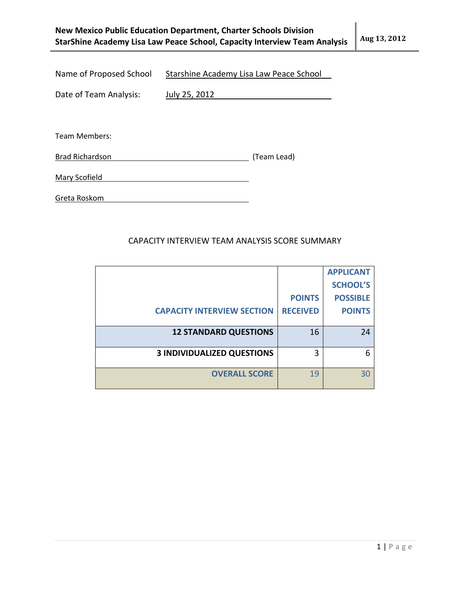| New Mexico Public Education Department, Charter Schools Division          |              |
|---------------------------------------------------------------------------|--------------|
| StarShine Academy Lisa Law Peace School, Capacity Interview Team Analysis | Aug 13, 2012 |

Name of Proposed School Starshine Academy Lisa Law Peace School

Date of Team Analysis: July 25, 2012

Team Members:

Brad Richardson (Team Lead)

Mary Scofield

Greta Roskom

## CAPACITY INTERVIEW TEAM ANALYSIS SCORE SUMMARY

|                                   |                 | <b>APPLICANT</b> |
|-----------------------------------|-----------------|------------------|
|                                   |                 | <b>SCHOOL'S</b>  |
|                                   | <b>POINTS</b>   | <b>POSSIBLE</b>  |
| <b>CAPACITY INTERVIEW SECTION</b> | <b>RECEIVED</b> | <b>POINTS</b>    |
|                                   |                 |                  |
| <b>12 STANDARD QUESTIONS</b>      | 16              | 24               |
|                                   |                 |                  |
| <b>3 INDIVIDUALIZED QUESTIONS</b> | 3               | 6                |
|                                   |                 |                  |
| <b>OVERALL SCORE</b>              | 19              | 30               |
|                                   |                 |                  |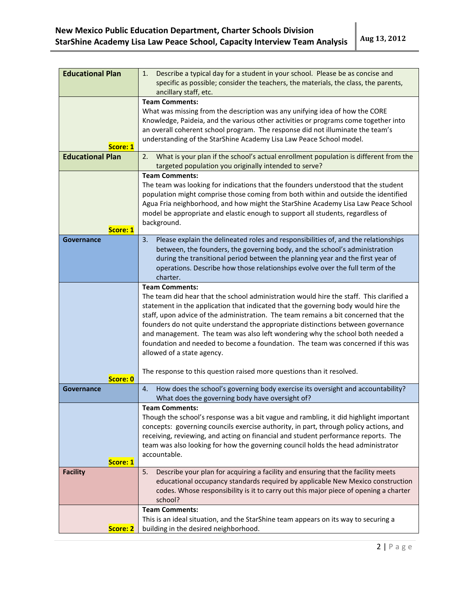| <b>Educational Plan</b> | Describe a typical day for a student in your school. Please be as concise and<br>1.<br>specific as possible; consider the teachers, the materials, the class, the parents,     |  |
|-------------------------|--------------------------------------------------------------------------------------------------------------------------------------------------------------------------------|--|
|                         | ancillary staff, etc.                                                                                                                                                          |  |
|                         | <b>Team Comments:</b>                                                                                                                                                          |  |
|                         | What was missing from the description was any unifying idea of how the CORE                                                                                                    |  |
|                         | Knowledge, Paideia, and the various other activities or programs come together into                                                                                            |  |
|                         | an overall coherent school program. The response did not illuminate the team's                                                                                                 |  |
| Score: 1                | understanding of the StarShine Academy Lisa Law Peace School model.                                                                                                            |  |
| <b>Educational Plan</b> | What is your plan if the school's actual enrollment population is different from the<br>2.                                                                                     |  |
|                         | targeted population you originally intended to serve?                                                                                                                          |  |
|                         | <b>Team Comments:</b>                                                                                                                                                          |  |
|                         | The team was looking for indications that the founders understood that the student                                                                                             |  |
|                         | population might comprise those coming from both within and outside the identified                                                                                             |  |
|                         | Agua Fria neighborhood, and how might the StarShine Academy Lisa Law Peace School                                                                                              |  |
|                         | model be appropriate and elastic enough to support all students, regardless of                                                                                                 |  |
| Score: 1                | background.                                                                                                                                                                    |  |
| Governance              | Please explain the delineated roles and responsibilities of, and the relationships<br>3.                                                                                       |  |
|                         | between, the founders, the governing body, and the school's administration                                                                                                     |  |
|                         | during the transitional period between the planning year and the first year of                                                                                                 |  |
|                         | operations. Describe how those relationships evolve over the full term of the                                                                                                  |  |
|                         | charter.                                                                                                                                                                       |  |
|                         | <b>Team Comments:</b><br>The team did hear that the school administration would hire the staff. This clarified a                                                               |  |
|                         | statement in the application that indicated that the governing body would hire the                                                                                             |  |
|                         | staff, upon advice of the administration. The team remains a bit concerned that the                                                                                            |  |
|                         | founders do not quite understand the appropriate distinctions between governance                                                                                               |  |
|                         | and management. The team was also left wondering why the school both needed a                                                                                                  |  |
|                         | foundation and needed to become a foundation. The team was concerned if this was                                                                                               |  |
|                         | allowed of a state agency.                                                                                                                                                     |  |
|                         |                                                                                                                                                                                |  |
| Score: 0                | The response to this question raised more questions than it resolved.                                                                                                          |  |
| Governance              | How does the school's governing body exercise its oversight and accountability?<br>4.                                                                                          |  |
|                         | What does the governing body have oversight of?                                                                                                                                |  |
|                         | <b>Team Comments:</b>                                                                                                                                                          |  |
|                         | Though the school's response was a bit vague and rambling, it did highlight important<br>concepts: governing councils exercise authority, in part, through policy actions, and |  |
|                         | receiving, reviewing, and acting on financial and student performance reports. The                                                                                             |  |
|                         | team was also looking for how the governing council holds the head administrator                                                                                               |  |
|                         | accountable.                                                                                                                                                                   |  |
| Score: 1                |                                                                                                                                                                                |  |
| <b>Facility</b>         | Describe your plan for acquiring a facility and ensuring that the facility meets<br>5.                                                                                         |  |
|                         | educational occupancy standards required by applicable New Mexico construction                                                                                                 |  |
|                         | codes. Whose responsibility is it to carry out this major piece of opening a charter                                                                                           |  |
|                         | school?<br><b>Team Comments:</b>                                                                                                                                               |  |
|                         | This is an ideal situation, and the StarShine team appears on its way to securing a                                                                                            |  |
| Score: 2                | building in the desired neighborhood.                                                                                                                                          |  |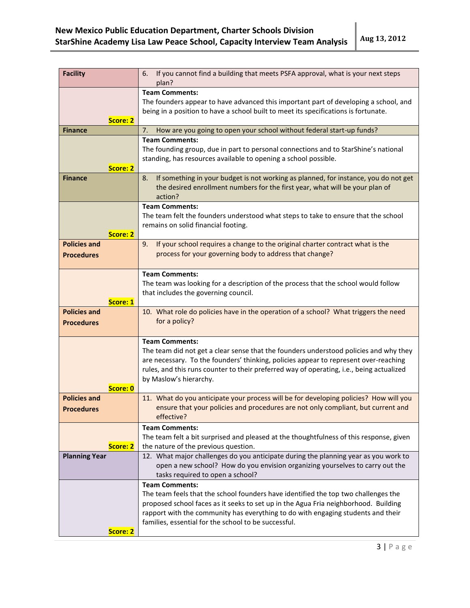| <b>Facility</b>                                      | If you cannot find a building that meets PSFA approval, what is your next steps<br>6.<br>plan?                                                                                                                                                                                                     |  |
|------------------------------------------------------|----------------------------------------------------------------------------------------------------------------------------------------------------------------------------------------------------------------------------------------------------------------------------------------------------|--|
| Score: 2                                             | <b>Team Comments:</b><br>The founders appear to have advanced this important part of developing a school, and<br>being in a position to have a school built to meet its specifications is fortunate.                                                                                               |  |
| <b>Finance</b>                                       | How are you going to open your school without federal start-up funds?<br>7.                                                                                                                                                                                                                        |  |
|                                                      | <b>Team Comments:</b>                                                                                                                                                                                                                                                                              |  |
| Score: 2                                             | The founding group, due in part to personal connections and to StarShine's national<br>standing, has resources available to opening a school possible.                                                                                                                                             |  |
| <b>Finance</b>                                       | If something in your budget is not working as planned, for instance, you do not get<br>8.<br>the desired enrollment numbers for the first year, what will be your plan of<br>action?                                                                                                               |  |
|                                                      | <b>Team Comments:</b>                                                                                                                                                                                                                                                                              |  |
| Score: 2                                             | The team felt the founders understood what steps to take to ensure that the school<br>remains on solid financial footing.                                                                                                                                                                          |  |
| <b>Policies and</b>                                  | If your school requires a change to the original charter contract what is the<br>9.                                                                                                                                                                                                                |  |
| <b>Procedures</b>                                    | process for your governing body to address that change?                                                                                                                                                                                                                                            |  |
|                                                      | <b>Team Comments:</b>                                                                                                                                                                                                                                                                              |  |
|                                                      |                                                                                                                                                                                                                                                                                                    |  |
|                                                      | The team was looking for a description of the process that the school would follow                                                                                                                                                                                                                 |  |
| Score: 1                                             | that includes the governing council.                                                                                                                                                                                                                                                               |  |
| <b>Policies and</b>                                  |                                                                                                                                                                                                                                                                                                    |  |
|                                                      | 10. What role do policies have in the operation of a school? What triggers the need                                                                                                                                                                                                                |  |
| <b>Procedures</b>                                    | for a policy?                                                                                                                                                                                                                                                                                      |  |
|                                                      |                                                                                                                                                                                                                                                                                                    |  |
|                                                      | <b>Team Comments:</b><br>The team did not get a clear sense that the founders understood policies and why they<br>are necessary. To the founders' thinking, policies appear to represent over-reaching<br>rules, and this runs counter to their preferred way of operating, i.e., being actualized |  |
|                                                      | by Maslow's hierarchy.                                                                                                                                                                                                                                                                             |  |
| Score: 0                                             |                                                                                                                                                                                                                                                                                                    |  |
| <b>Policies and</b>                                  | 11. What do you anticipate your process will be for developing policies? How will you                                                                                                                                                                                                              |  |
| <b>Procedures</b>                                    | ensure that your policies and procedures are not only compliant, but current and                                                                                                                                                                                                                   |  |
|                                                      | effective?                                                                                                                                                                                                                                                                                         |  |
|                                                      | <b>Team Comments:</b>                                                                                                                                                                                                                                                                              |  |
|                                                      | The team felt a bit surprised and pleased at the thoughtfulness of this response, given                                                                                                                                                                                                            |  |
| Score: 2                                             | the nature of the previous question.                                                                                                                                                                                                                                                               |  |
| <b>Planning Year</b>                                 | 12. What major challenges do you anticipate during the planning year as you work to                                                                                                                                                                                                                |  |
|                                                      | open a new school? How do you envision organizing yourselves to carry out the                                                                                                                                                                                                                      |  |
|                                                      | tasks required to open a school?                                                                                                                                                                                                                                                                   |  |
|                                                      | <b>Team Comments:</b>                                                                                                                                                                                                                                                                              |  |
|                                                      | The team feels that the school founders have identified the top two challenges the                                                                                                                                                                                                                 |  |
|                                                      | proposed school faces as it seeks to set up in the Agua Fria neighborhood. Building                                                                                                                                                                                                                |  |
|                                                      | rapport with the community has everything to do with engaging students and their                                                                                                                                                                                                                   |  |
| families, essential for the school to be successful. |                                                                                                                                                                                                                                                                                                    |  |
| Score: 2                                             |                                                                                                                                                                                                                                                                                                    |  |